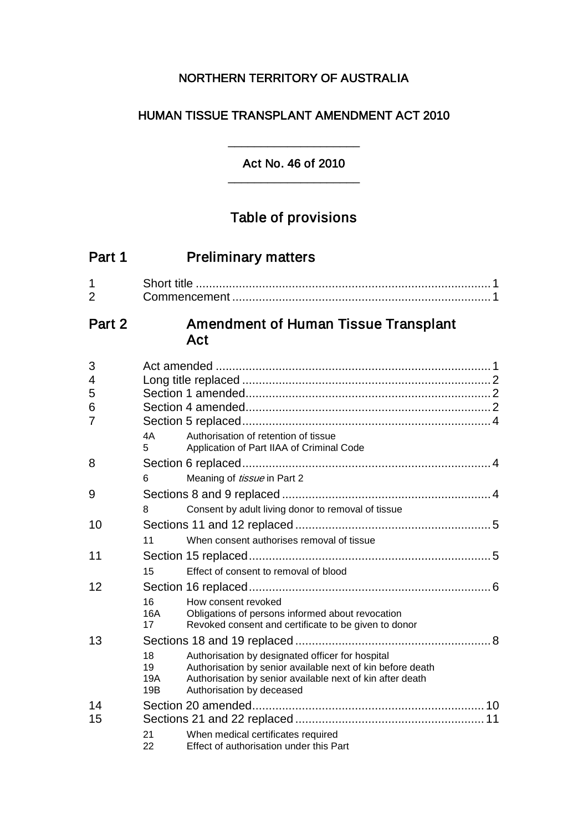## NORTHERN TERRITORY OF AUSTRALIA

## HUMAN TISSUE TRANSPLANT AMENDMENT ACT 2010

## Act No. 46 of 2010 \_\_\_\_\_\_\_\_\_\_\_\_\_\_\_\_\_\_\_\_

\_\_\_\_\_\_\_\_\_\_\_\_\_\_\_\_\_\_\_\_

# Table of provisions

| Part 1                             |                        | <b>Preliminary matters</b>                                                                                                                                                                               |
|------------------------------------|------------------------|----------------------------------------------------------------------------------------------------------------------------------------------------------------------------------------------------------|
| 1<br>$\overline{2}$                |                        |                                                                                                                                                                                                          |
| Part 2                             |                        | <b>Amendment of Human Tissue Transplant</b><br>Act                                                                                                                                                       |
| 3<br>4<br>5<br>6<br>$\overline{7}$ | 4A<br>5                | Authorisation of retention of tissue<br>Application of Part IIAA of Criminal Code                                                                                                                        |
| 8                                  | 6                      | Meaning of <i>tissue</i> in Part 2                                                                                                                                                                       |
| 9                                  | 8                      | Consent by adult living donor to removal of tissue                                                                                                                                                       |
| 10                                 | 11                     | When consent authorises removal of tissue                                                                                                                                                                |
| 11                                 | 15                     | Effect of consent to removal of blood                                                                                                                                                                    |
| 12                                 | 16<br>16A<br>17        | How consent revoked<br>Obligations of persons informed about revocation<br>Revoked consent and certificate to be given to donor                                                                          |
| 13                                 | 18<br>19<br>19A<br>19B | Authorisation by designated officer for hospital<br>Authorisation by senior available next of kin before death<br>Authorisation by senior available next of kin after death<br>Authorisation by deceased |
| 14<br>15                           | 21<br>22               | When medical certificates required<br>Effect of authorisation under this Part                                                                                                                            |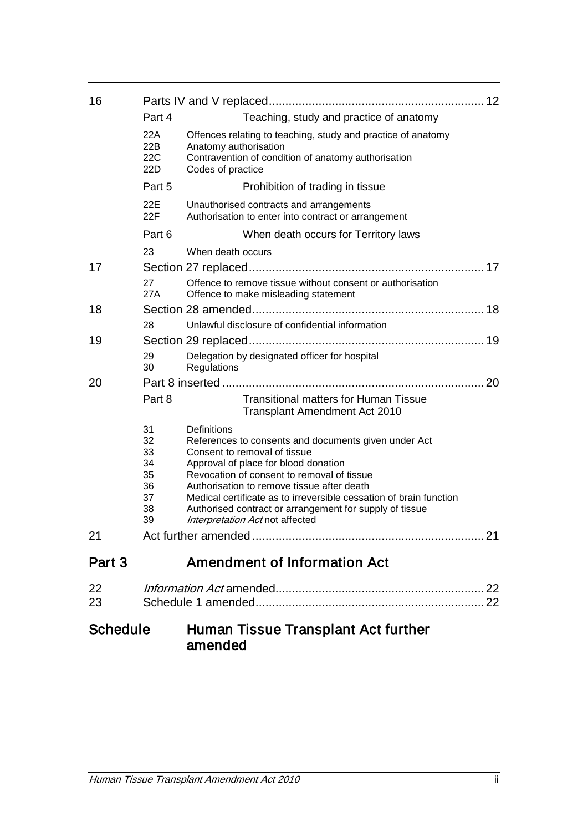| 16              |            |                                                                                                                  |
|-----------------|------------|------------------------------------------------------------------------------------------------------------------|
|                 | Part 4     | Teaching, study and practice of anatomy                                                                          |
|                 | 22A<br>22B | Offences relating to teaching, study and practice of anatomy<br>Anatomy authorisation                            |
|                 | 22C<br>22D | Contravention of condition of anatomy authorisation<br>Codes of practice                                         |
|                 | Part 5     | Prohibition of trading in tissue                                                                                 |
|                 | 22E<br>22F | Unauthorised contracts and arrangements<br>Authorisation to enter into contract or arrangement                   |
|                 | Part 6     | When death occurs for Territory laws                                                                             |
|                 | 23         | When death occurs                                                                                                |
| 17              |            |                                                                                                                  |
|                 | 27<br>27A  | Offence to remove tissue without consent or authorisation<br>Offence to make misleading statement                |
| 18              |            |                                                                                                                  |
|                 | 28         | Unlawful disclosure of confidential information                                                                  |
| 19              |            |                                                                                                                  |
|                 | 29<br>30   | Delegation by designated officer for hospital<br>Regulations                                                     |
| 20              |            |                                                                                                                  |
|                 | Part 8     | <b>Transitional matters for Human Tissue</b><br>Transplant Amendment Act 2010                                    |
|                 | 31         | Definitions                                                                                                      |
|                 | 32<br>33   | References to consents and documents given under Act<br>Consent to removal of tissue                             |
|                 | 34         | Approval of place for blood donation                                                                             |
|                 | 35         | Revocation of consent to removal of tissue                                                                       |
|                 | 36<br>37   | Authorisation to remove tissue after death<br>Medical certificate as to irreversible cessation of brain function |
|                 | 38         | Authorised contract or arrangement for supply of tissue                                                          |
|                 | 39         | Interpretation Act not affected                                                                                  |
| 21              |            |                                                                                                                  |
| Part 3          |            | <b>Amendment of Information Act</b>                                                                              |
| 22              |            |                                                                                                                  |
| 23              |            |                                                                                                                  |
| <b>Schedule</b> |            | Human Tissue Transplant Act further<br>amended                                                                   |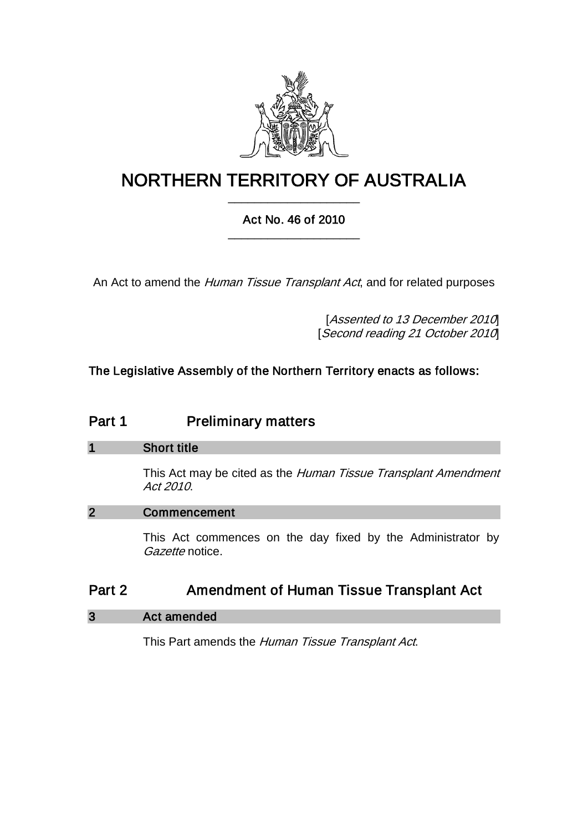

# NORTHERN TERRITORY OF AUSTRALIA \_\_\_\_\_\_\_\_\_\_\_\_\_\_\_\_\_\_\_\_

## Act No. 46 of 2010 \_\_\_\_\_\_\_\_\_\_\_\_\_\_\_\_\_\_\_\_

An Act to amend the *Human Tissue Transplant Act*, and for related purposes

[Assented to 13 December 2010] [Second reading 21 October 2010]

The Legislative Assembly of the Northern Territory enacts as follows:

## Part 1 **Preliminary matters**

## 1 Short title

This Act may be cited as the Human Tissue Transplant Amendment Act 2010.

## 2 Commencement

This Act commences on the day fixed by the Administrator by Gazette notice.

## Part 2 **Amendment of Human Tissue Transplant Act**

## 3 Act amended

This Part amends the Human Tissue Transplant Act.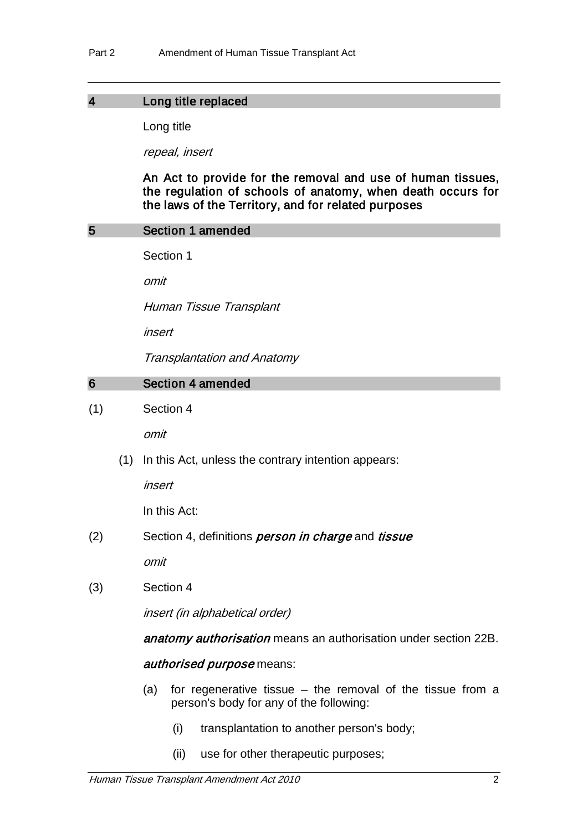#### 4 Long title replaced

Long title

repeal, insert

An Act to provide for the removal and use of human tissues, the regulation of schools of anatomy, when death occurs for the laws of the Territory, and for related purposes

#### 5 Section 1 amended

Section 1

omit

Human Tissue Transplant

insert

Transplantation and Anatomy

#### 6 Section 4 amended

#### (1) Section 4

omit

(1) In this Act, unless the contrary intention appears:

insert

In this Act:

(2) Section 4, definitions *person in charge* and *tissue* 

omit

(3) Section 4

insert (in alphabetical order)

anatomy authorisation means an authorisation under section 22B.

#### authorised purpose means:

- (a) for regenerative tissue the removal of the tissue from a person's body for any of the following:
	- (i) transplantation to another person's body;
	- (ii) use for other therapeutic purposes;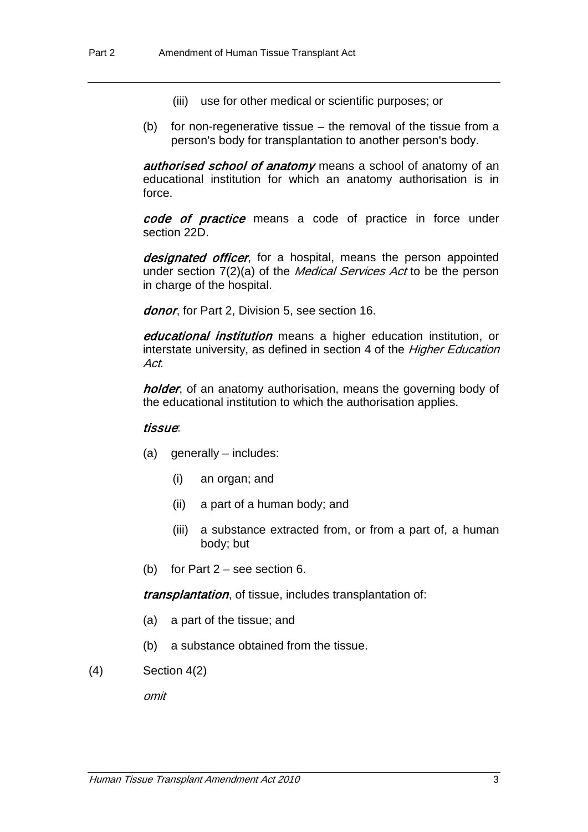- (iii) use for other medical or scientific purposes; or
- (b) for non-regenerative tissue the removal of the tissue from a person's body for transplantation to another person's body.

**authorised school of anatomy** means a school of anatomy of an educational institution for which an anatomy authorisation is in force.

code of practice means a code of practice in force under section 22D.

designated officer, for a hospital, means the person appointed under section 7(2)(a) of the *Medical Services Act* to be the person in charge of the hospital.

donor, for Part 2, Division 5, see section 16.

*educational institution* means a higher education institution, or interstate university, as defined in section 4 of the *Higher Education* Act.

holder, of an anatomy authorisation, means the governing body of the educational institution to which the authorisation applies.

#### tissue:

- (a) generally includes:
	- (i) an organ; and
	- (ii) a part of a human body; and
	- (iii) a substance extracted from, or from a part of, a human body; but
- (b) for Part 2 see section 6.

transplantation, of tissue, includes transplantation of:

- (a) a part of the tissue; and
- (b) a substance obtained from the tissue.
- (4) Section 4(2)

omit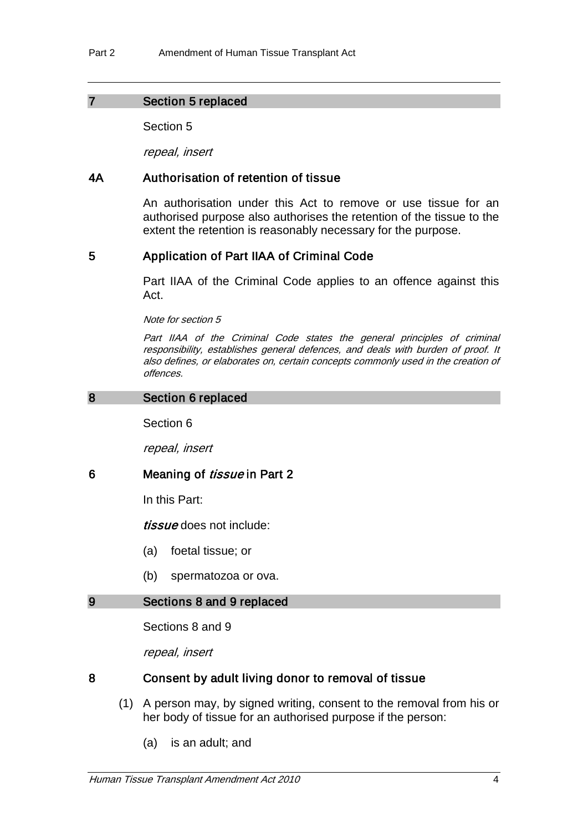### 7 Section 5 replaced

Section 5

repeal, insert

## 4A Authorisation of retention of tissue

An authorisation under this Act to remove or use tissue for an authorised purpose also authorises the retention of the tissue to the extent the retention is reasonably necessary for the purpose.

## 5 Application of Part IIAA of Criminal Code

Part IIAA of the Criminal Code applies to an offence against this Act.

Note for section 5

Part IIAA of the Criminal Code states the general principles of criminal responsibility, establishes general defences, and deals with burden of proof. It also defines, or elaborates on, certain concepts commonly used in the creation of offences.

### 8 Section 6 replaced

Section 6

repeal, insert

## 6 Meaning of *tissue* in Part 2

In this Part:

tissue does not include:

- (a) foetal tissue; or
- (b) spermatozoa or ova.

#### 9 Sections 8 and 9 replaced

Sections 8 and 9

repeal, insert

#### 8 Consent by adult living donor to removal of tissue

- (1) A person may, by signed writing, consent to the removal from his or her body of tissue for an authorised purpose if the person:
	- (a) is an adult; and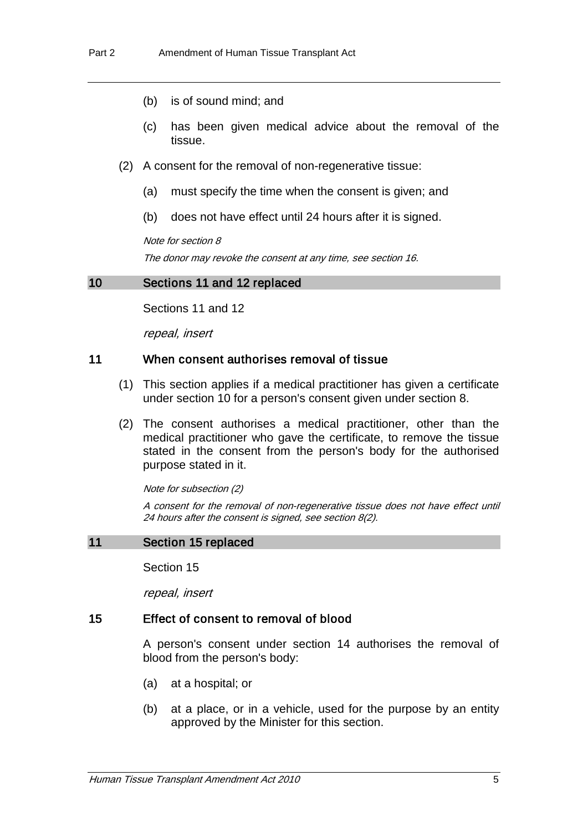- (b) is of sound mind; and
- (c) has been given medical advice about the removal of the tissue.
- (2) A consent for the removal of non-regenerative tissue:
	- (a) must specify the time when the consent is given; and
	- (b) does not have effect until 24 hours after it is signed.

Note for section 8

The donor may revoke the consent at any time, see section 16.

#### 10 Sections 11 and 12 replaced

Sections 11 and 12

repeal, insert

### 11 When consent authorises removal of tissue

- (1) This section applies if a medical practitioner has given a certificate under section 10 for a person's consent given under section 8.
- (2) The consent authorises a medical practitioner, other than the medical practitioner who gave the certificate, to remove the tissue stated in the consent from the person's body for the authorised purpose stated in it.

Note for subsection (2)

A consent for the removal of non-regenerative tissue does not have effect until 24 hours after the consent is signed, see section 8(2).

#### 11 Section 15 replaced

Section 15

repeal, insert

#### 15 Effect of consent to removal of blood

A person's consent under section 14 authorises the removal of blood from the person's body:

- (a) at a hospital; or
- (b) at a place, or in a vehicle, used for the purpose by an entity approved by the Minister for this section.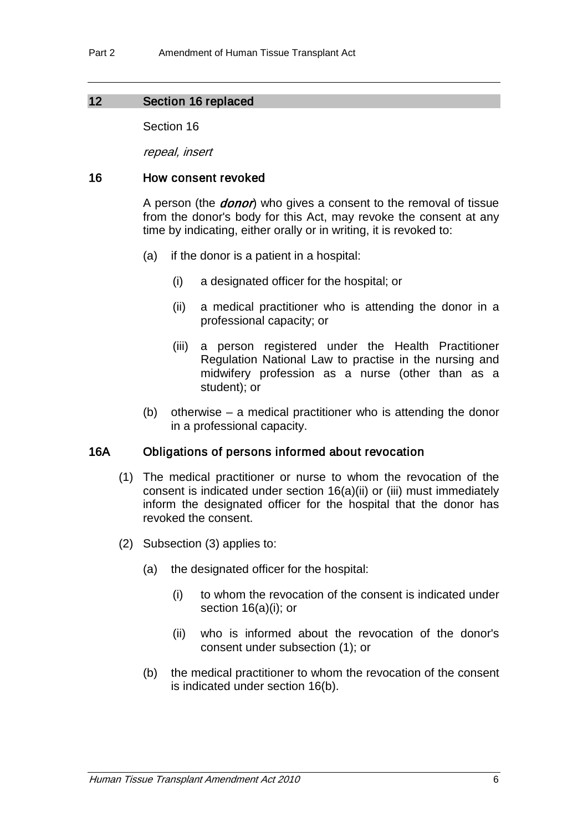### 12 Section 16 replaced

Section 16

repeal, insert

### 16 How consent revoked

A person (the *donor*) who gives a consent to the removal of tissue from the donor's body for this Act, may revoke the consent at any time by indicating, either orally or in writing, it is revoked to:

- (a) if the donor is a patient in a hospital:
	- (i) a designated officer for the hospital; or
	- (ii) a medical practitioner who is attending the donor in a professional capacity; or
	- (iii) a person registered under the Health Practitioner Regulation National Law to practise in the nursing and midwifery profession as a nurse (other than as a student); or
- (b) otherwise a medical practitioner who is attending the donor in a professional capacity.

## 16A Obligations of persons informed about revocation

- (1) The medical practitioner or nurse to whom the revocation of the consent is indicated under section 16(a)(ii) or (iii) must immediately inform the designated officer for the hospital that the donor has revoked the consent.
- (2) Subsection (3) applies to:
	- (a) the designated officer for the hospital:
		- (i) to whom the revocation of the consent is indicated under section 16(a)(i); or
		- (ii) who is informed about the revocation of the donor's consent under subsection (1); or
	- (b) the medical practitioner to whom the revocation of the consent is indicated under section 16(b).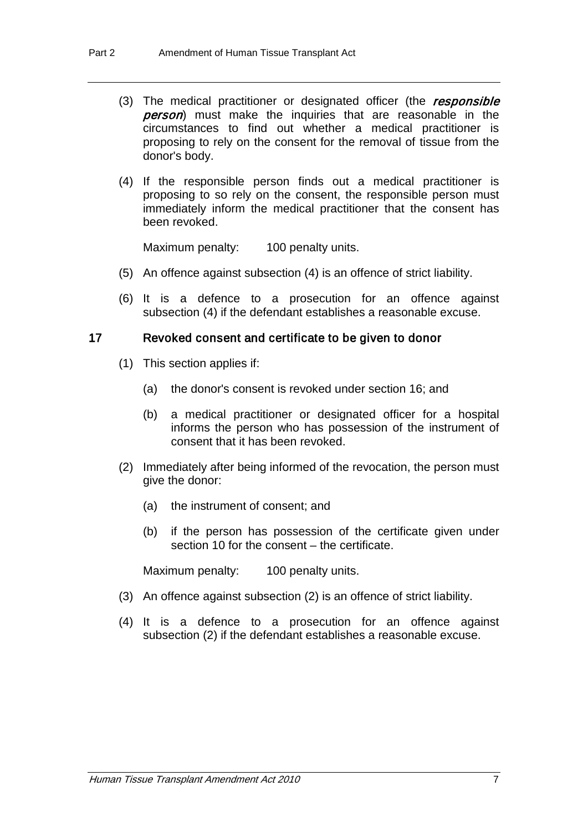- (3) The medical practitioner or designated officer (the responsible person) must make the inquiries that are reasonable in the circumstances to find out whether a medical practitioner is proposing to rely on the consent for the removal of tissue from the donor's body.
- (4) If the responsible person finds out a medical practitioner is proposing to so rely on the consent, the responsible person must immediately inform the medical practitioner that the consent has been revoked.

Maximum penalty: 100 penalty units.

- (5) An offence against subsection (4) is an offence of strict liability.
- (6) It is a defence to a prosecution for an offence against subsection (4) if the defendant establishes a reasonable excuse.

#### 17 Revoked consent and certificate to be given to donor

- (1) This section applies if:
	- (a) the donor's consent is revoked under section 16; and
	- (b) a medical practitioner or designated officer for a hospital informs the person who has possession of the instrument of consent that it has been revoked.
- (2) Immediately after being informed of the revocation, the person must give the donor:
	- (a) the instrument of consent; and
	- (b) if the person has possession of the certificate given under section 10 for the consent – the certificate.

Maximum penalty: 100 penalty units.

- (3) An offence against subsection (2) is an offence of strict liability.
- (4) It is a defence to a prosecution for an offence against subsection (2) if the defendant establishes a reasonable excuse.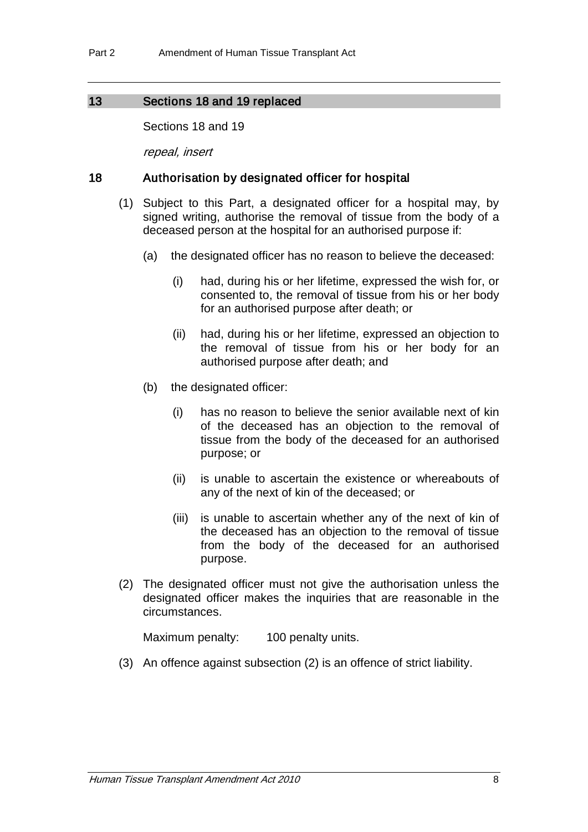## 13 Sections 18 and 19 replaced

Sections 18 and 19

repeal, insert

## 18 Authorisation by designated officer for hospital

- (1) Subject to this Part, a designated officer for a hospital may, by signed writing, authorise the removal of tissue from the body of a deceased person at the hospital for an authorised purpose if:
	- (a) the designated officer has no reason to believe the deceased:
		- (i) had, during his or her lifetime, expressed the wish for, or consented to, the removal of tissue from his or her body for an authorised purpose after death; or
		- (ii) had, during his or her lifetime, expressed an objection to the removal of tissue from his or her body for an authorised purpose after death; and
	- (b) the designated officer:
		- (i) has no reason to believe the senior available next of kin of the deceased has an objection to the removal of tissue from the body of the deceased for an authorised purpose; or
		- (ii) is unable to ascertain the existence or whereabouts of any of the next of kin of the deceased; or
		- (iii) is unable to ascertain whether any of the next of kin of the deceased has an objection to the removal of tissue from the body of the deceased for an authorised purpose.
- (2) The designated officer must not give the authorisation unless the designated officer makes the inquiries that are reasonable in the circumstances.

Maximum penalty: 100 penalty units.

(3) An offence against subsection (2) is an offence of strict liability.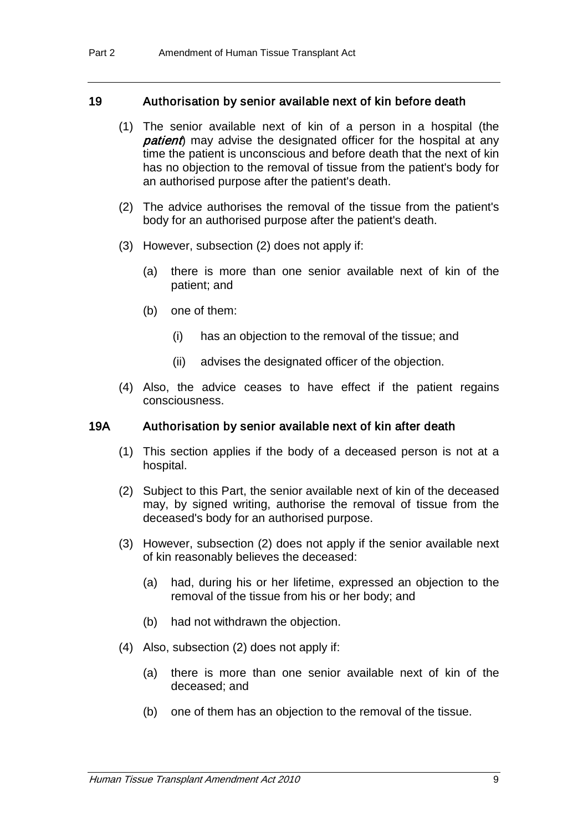#### 19 Authorisation by senior available next of kin before death

- (1) The senior available next of kin of a person in a hospital (the **patient**) may advise the designated officer for the hospital at any time the patient is unconscious and before death that the next of kin has no objection to the removal of tissue from the patient's body for an authorised purpose after the patient's death.
- (2) The advice authorises the removal of the tissue from the patient's body for an authorised purpose after the patient's death.
- (3) However, subsection (2) does not apply if:
	- (a) there is more than one senior available next of kin of the patient; and
	- (b) one of them:
		- (i) has an objection to the removal of the tissue; and
		- (ii) advises the designated officer of the objection.
- (4) Also, the advice ceases to have effect if the patient regains consciousness.

#### 19A Authorisation by senior available next of kin after death

- (1) This section applies if the body of a deceased person is not at a hospital.
- (2) Subject to this Part, the senior available next of kin of the deceased may, by signed writing, authorise the removal of tissue from the deceased's body for an authorised purpose.
- (3) However, subsection (2) does not apply if the senior available next of kin reasonably believes the deceased:
	- (a) had, during his or her lifetime, expressed an objection to the removal of the tissue from his or her body; and
	- (b) had not withdrawn the objection.
- (4) Also, subsection (2) does not apply if:
	- (a) there is more than one senior available next of kin of the deceased; and
	- (b) one of them has an objection to the removal of the tissue.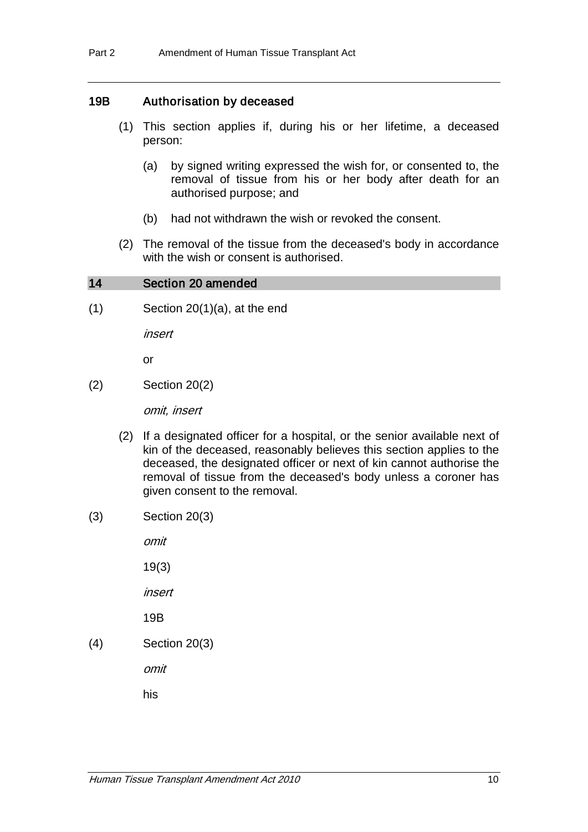## 19B Authorisation by deceased

- (1) This section applies if, during his or her lifetime, a deceased person:
	- (a) by signed writing expressed the wish for, or consented to, the removal of tissue from his or her body after death for an authorised purpose; and
	- (b) had not withdrawn the wish or revoked the consent.
- (2) The removal of the tissue from the deceased's body in accordance with the wish or consent is authorised.

#### 14 Section 20 amended

 $(1)$  Section 20 $(1)(a)$ , at the end

insert

or

(2) Section 20(2)

omit, insert

- (2) If a designated officer for a hospital, or the senior available next of kin of the deceased, reasonably believes this section applies to the deceased, the designated officer or next of kin cannot authorise the removal of tissue from the deceased's body unless a coroner has given consent to the removal.
- (3) Section 20(3)

omit

19(3)

insert

19B

(4) Section 20(3)

omit

his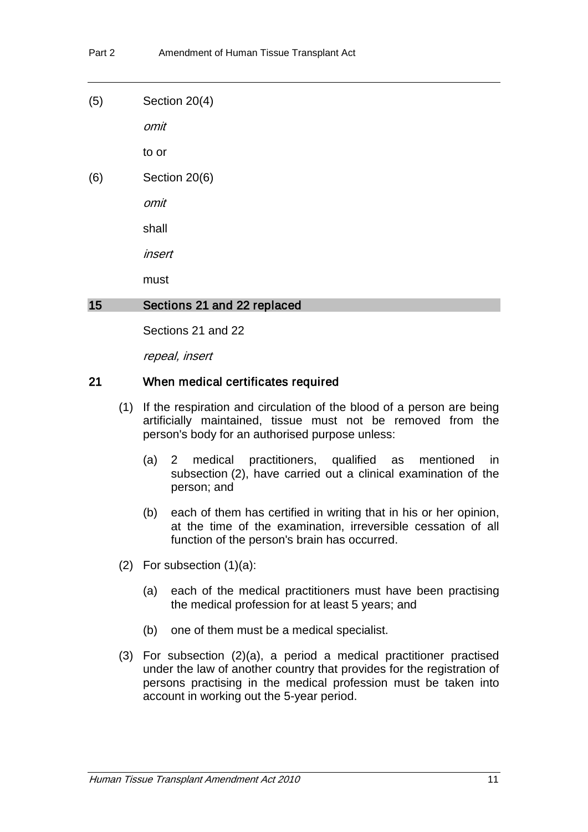(5) Section 20(4)

omit

to or

(6) Section 20(6)

omit

shall

insert

must

#### 15 Sections 21 and 22 replaced

Sections 21 and 22

repeal, insert

#### 21 When medical certificates required

- (1) If the respiration and circulation of the blood of a person are being artificially maintained, tissue must not be removed from the person's body for an authorised purpose unless:
	- (a) 2 medical practitioners, qualified as mentioned in subsection (2), have carried out a clinical examination of the person; and
	- (b) each of them has certified in writing that in his or her opinion, at the time of the examination, irreversible cessation of all function of the person's brain has occurred.
- (2) For subsection  $(1)(a)$ :
	- (a) each of the medical practitioners must have been practising the medical profession for at least 5 years; and
	- (b) one of them must be a medical specialist.
- (3) For subsection (2)(a), a period a medical practitioner practised under the law of another country that provides for the registration of persons practising in the medical profession must be taken into account in working out the 5-year period.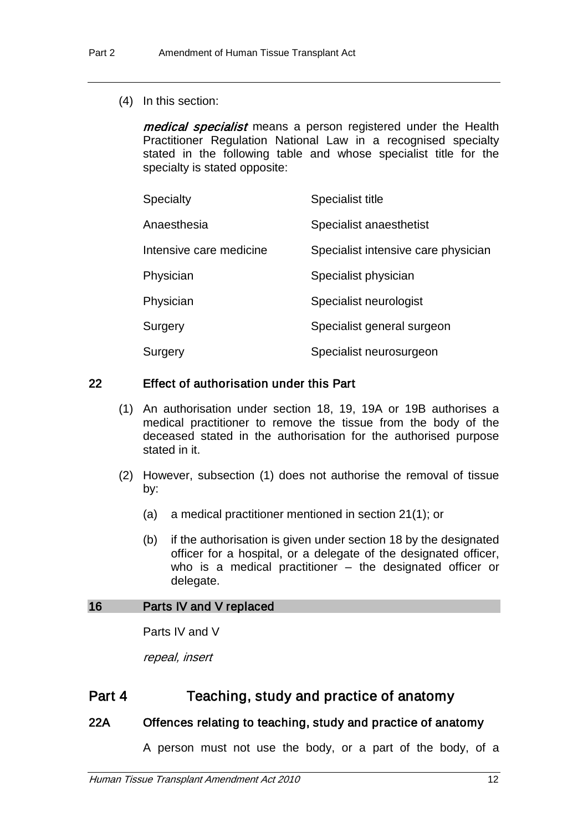(4) In this section:

medical specialist means a person registered under the Health Practitioner Regulation National Law in a recognised specialty stated in the following table and whose specialist title for the specialty is stated opposite:

| <b>Specialty</b>        | <b>Specialist title</b>             |
|-------------------------|-------------------------------------|
| Anaesthesia             | Specialist anaesthetist             |
| Intensive care medicine | Specialist intensive care physician |
| Physician               | Specialist physician                |
| Physician               | Specialist neurologist              |
| Surgery                 | Specialist general surgeon          |
| Surgery                 | Specialist neurosurgeon             |

## 22 Effect of authorisation under this Part

- (1) An authorisation under section 18, 19, 19A or 19B authorises a medical practitioner to remove the tissue from the body of the deceased stated in the authorisation for the authorised purpose stated in it.
- (2) However, subsection (1) does not authorise the removal of tissue by:
	- (a) a medical practitioner mentioned in section 21(1); or
	- (b) if the authorisation is given under section 18 by the designated officer for a hospital, or a delegate of the designated officer, who is a medical practitioner – the designated officer or delegate.

#### 16 Parts IV and V replaced

Parts IV and V

repeal, insert

## Part 4 Teaching, study and practice of anatomy

## 22A Offences relating to teaching, study and practice of anatomy

A person must not use the body, or a part of the body, of a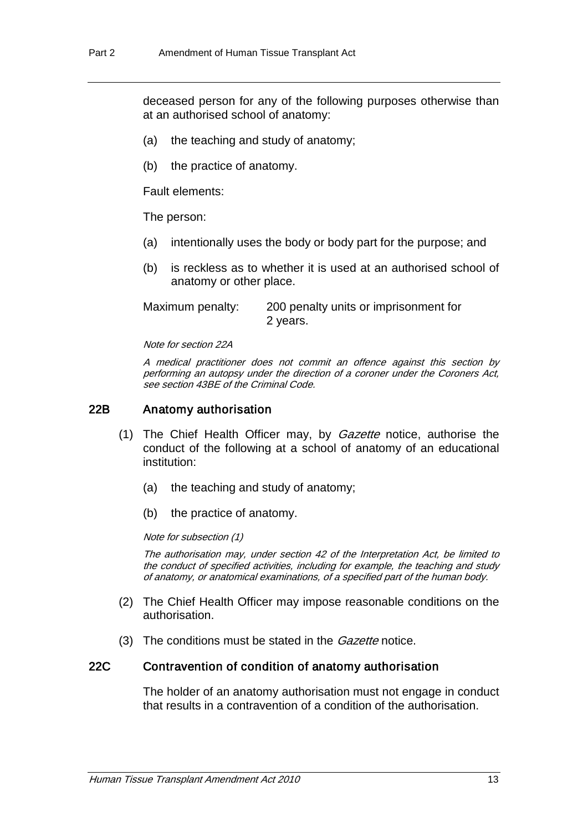deceased person for any of the following purposes otherwise than at an authorised school of anatomy:

- (a) the teaching and study of anatomy;
- (b) the practice of anatomy.

Fault elements:

The person:

- (a) intentionally uses the body or body part for the purpose; and
- (b) is reckless as to whether it is used at an authorised school of anatomy or other place.

Maximum penalty: 200 penalty units or imprisonment for 2 years.

Note for section 22A

A medical practitioner does not commit an offence against this section by performing an autopsy under the direction of a coroner under the Coroners Act, see section 43BE of the Criminal Code.

#### 22B Anatomy authorisation

- (1) The Chief Health Officer may, by *Gazette* notice, authorise the conduct of the following at a school of anatomy of an educational institution:
	- (a) the teaching and study of anatomy;
	- (b) the practice of anatomy.

Note for subsection (1)

The authorisation may, under section 42 of the Interpretation Act, be limited to the conduct of specified activities, including for example, the teaching and study of anatomy, or anatomical examinations, of a specified part of the human body.

- (2) The Chief Health Officer may impose reasonable conditions on the authorisation.
- (3) The conditions must be stated in the *Gazette* notice.

#### 22C Contravention of condition of anatomy authorisation

The holder of an anatomy authorisation must not engage in conduct that results in a contravention of a condition of the authorisation.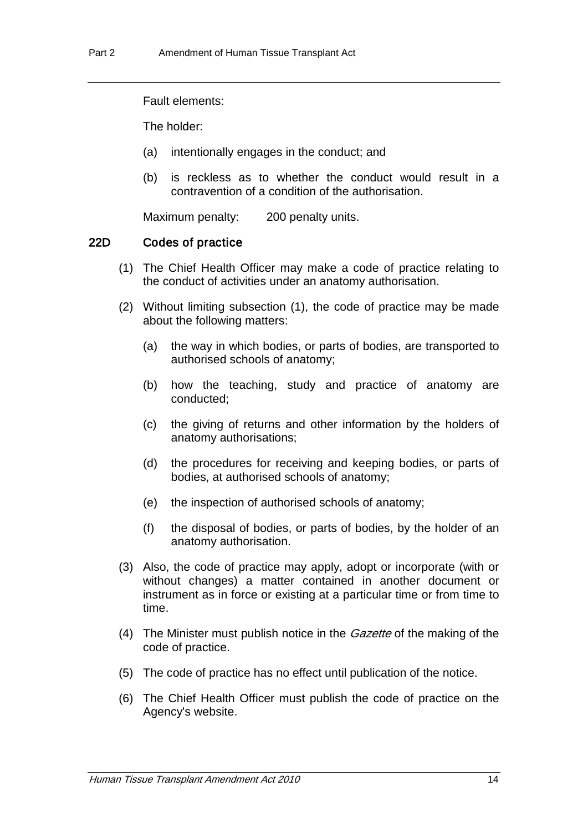Fault elements:

The holder:

- (a) intentionally engages in the conduct; and
- (b) is reckless as to whether the conduct would result in a contravention of a condition of the authorisation.

Maximum penalty: 200 penalty units.

### 22D Codes of practice

- (1) The Chief Health Officer may make a code of practice relating to the conduct of activities under an anatomy authorisation.
- (2) Without limiting subsection (1), the code of practice may be made about the following matters:
	- (a) the way in which bodies, or parts of bodies, are transported to authorised schools of anatomy;
	- (b) how the teaching, study and practice of anatomy are conducted;
	- (c) the giving of returns and other information by the holders of anatomy authorisations;
	- (d) the procedures for receiving and keeping bodies, or parts of bodies, at authorised schools of anatomy;
	- (e) the inspection of authorised schools of anatomy;
	- (f) the disposal of bodies, or parts of bodies, by the holder of an anatomy authorisation.
- (3) Also, the code of practice may apply, adopt or incorporate (with or without changes) a matter contained in another document or instrument as in force or existing at a particular time or from time to time.
- (4) The Minister must publish notice in the *Gazette* of the making of the code of practice.
- (5) The code of practice has no effect until publication of the notice.
- (6) The Chief Health Officer must publish the code of practice on the Agency's website.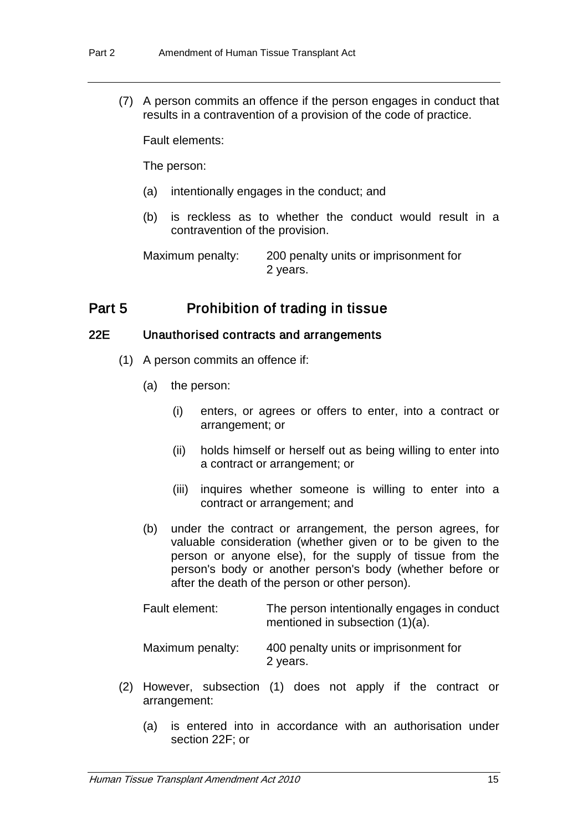(7) A person commits an offence if the person engages in conduct that results in a contravention of a provision of the code of practice.

Fault elements:

The person:

- (a) intentionally engages in the conduct; and
- (b) is reckless as to whether the conduct would result in a contravention of the provision.

Maximum penalty: 200 penalty units or imprisonment for 2 years.

## Part 5 Prohibition of trading in tissue

#### 22E Unauthorised contracts and arrangements

- (1) A person commits an offence if:
	- (a) the person:
		- (i) enters, or agrees or offers to enter, into a contract or arrangement; or
		- (ii) holds himself or herself out as being willing to enter into a contract or arrangement; or
		- (iii) inquires whether someone is willing to enter into a contract or arrangement; and
	- (b) under the contract or arrangement, the person agrees, for valuable consideration (whether given or to be given to the person or anyone else), for the supply of tissue from the person's body or another person's body (whether before or after the death of the person or other person).

| Fault element:   | The person intentionally engages in conduct<br>mentioned in subsection (1)(a). |
|------------------|--------------------------------------------------------------------------------|
| Maximum penalty: | 400 penalty units or imprisonment for<br>2 years.                              |

- (2) However, subsection (1) does not apply if the contract or arrangement:
	- (a) is entered into in accordance with an authorisation under section 22F; or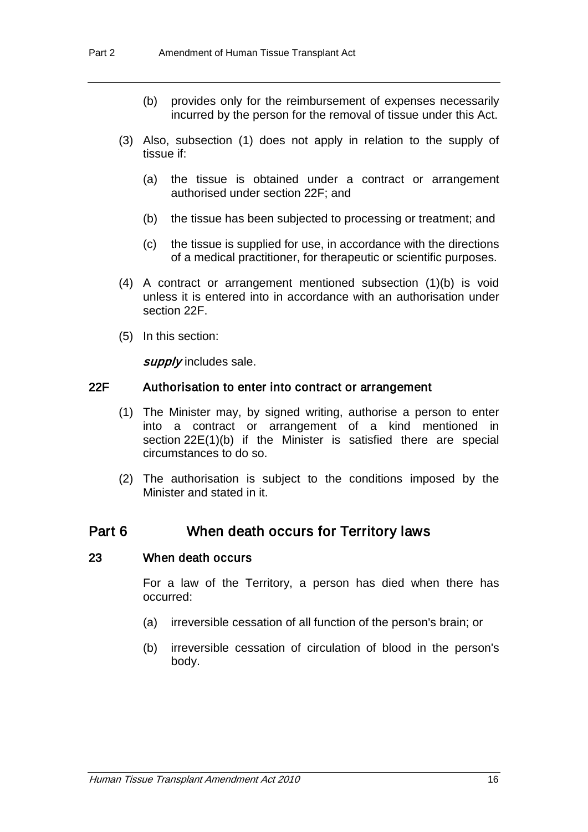- (b) provides only for the reimbursement of expenses necessarily incurred by the person for the removal of tissue under this Act.
- (3) Also, subsection (1) does not apply in relation to the supply of tissue if:
	- (a) the tissue is obtained under a contract or arrangement authorised under section 22F; and
	- (b) the tissue has been subjected to processing or treatment; and
	- (c) the tissue is supplied for use, in accordance with the directions of a medical practitioner, for therapeutic or scientific purposes.
- (4) A contract or arrangement mentioned subsection (1)(b) is void unless it is entered into in accordance with an authorisation under section 22F.
- (5) In this section:

supply includes sale.

#### 22F Authorisation to enter into contract or arrangement

- (1) The Minister may, by signed writing, authorise a person to enter into a contract or arrangement of a kind mentioned in section 22E(1)(b) if the Minister is satisfied there are special circumstances to do so.
- (2) The authorisation is subject to the conditions imposed by the Minister and stated in it.

## Part 6 When death occurs for Territory laws

#### 23 When death occurs

For a law of the Territory, a person has died when there has occurred:

- (a) irreversible cessation of all function of the person's brain; or
- (b) irreversible cessation of circulation of blood in the person's body.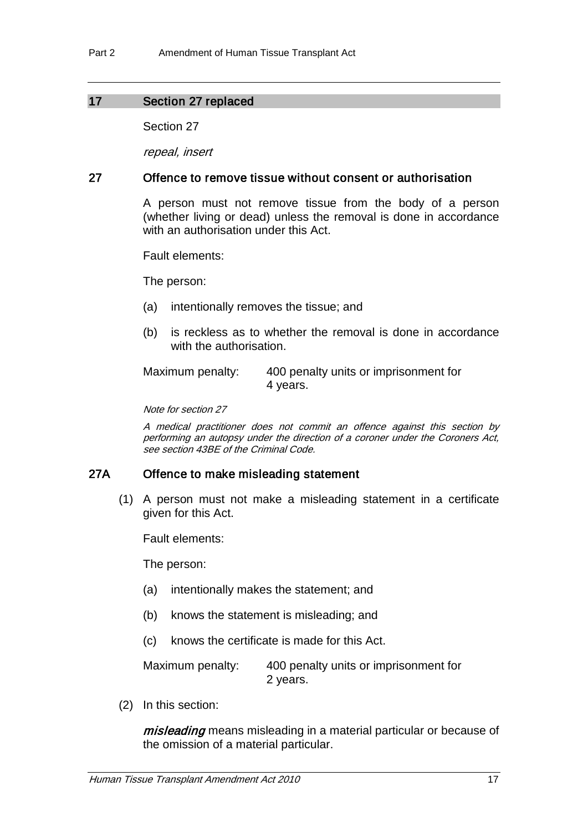## 17 Section 27 replaced

Section 27

repeal, insert

## 27 Offence to remove tissue without consent or authorisation

A person must not remove tissue from the body of a person (whether living or dead) unless the removal is done in accordance with an authorisation under this Act.

Fault elements:

The person:

- (a) intentionally removes the tissue; and
- (b) is reckless as to whether the removal is done in accordance with the authorisation.

Maximum penalty: 400 penalty units or imprisonment for 4 years.

Note for section 27

A medical practitioner does not commit an offence against this section by performing an autopsy under the direction of a coroner under the Coroners Act, see section 43BE of the Criminal Code.

## 27A Offence to make misleading statement

(1) A person must not make a misleading statement in a certificate given for this Act.

Fault elements:

The person:

- (a) intentionally makes the statement; and
- (b) knows the statement is misleading; and
- (c) knows the certificate is made for this Act.

Maximum penalty: 400 penalty units or imprisonment for 2 years.

(2) In this section:

misleading means misleading in a material particular or because of the omission of a material particular.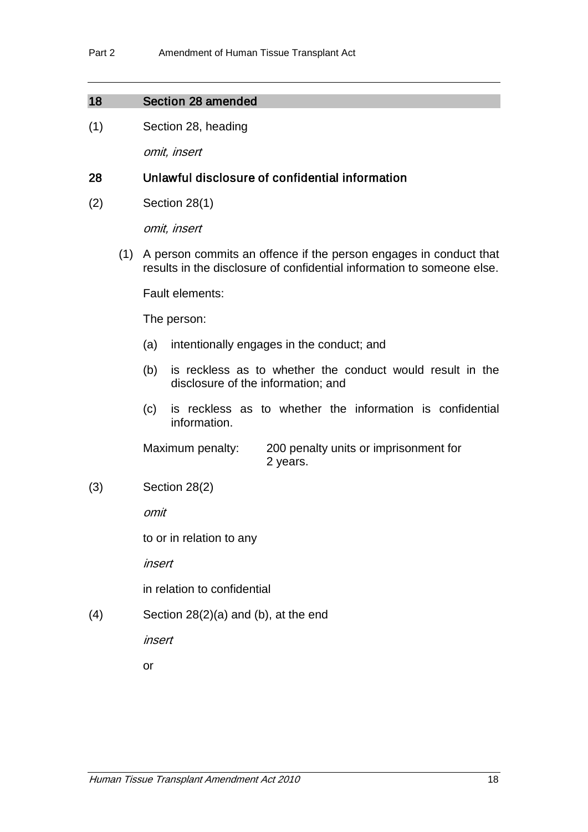#### 18 Section 28 amended

(1) Section 28, heading

omit, insert

#### 28 Unlawful disclosure of confidential information

(2) Section 28(1)

omit, insert

(1) A person commits an offence if the person engages in conduct that results in the disclosure of confidential information to someone else.

Fault elements:

The person:

- (a) intentionally engages in the conduct; and
- (b) is reckless as to whether the conduct would result in the disclosure of the information; and
- (c) is reckless as to whether the information is confidential information.

Maximum penalty: 200 penalty units or imprisonment for 2 years.

(3) Section 28(2)

omit

to or in relation to any

insert

in relation to confidential

(4) Section 28(2)(a) and (b), at the end

insert

or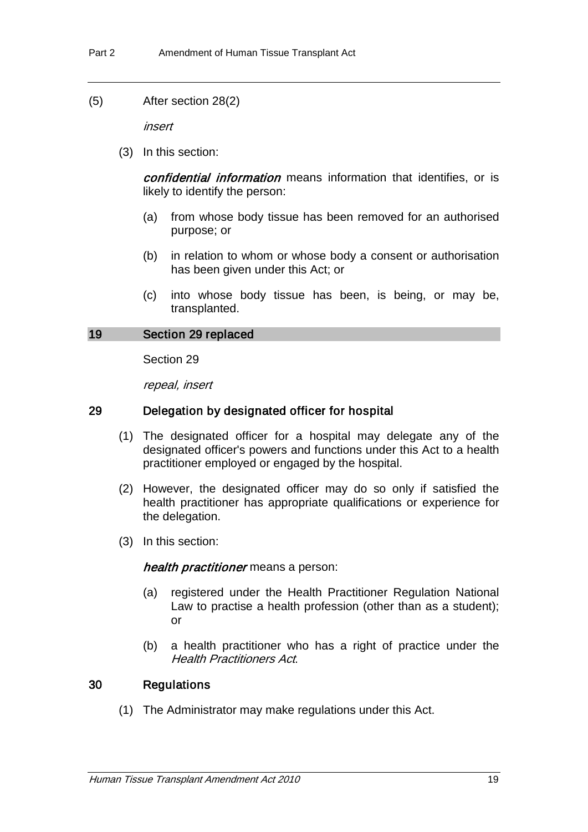(5) After section 28(2)

insert

(3) In this section:

confidential information means information that identifies, or is likely to identify the person:

- (a) from whose body tissue has been removed for an authorised purpose; or
- (b) in relation to whom or whose body a consent or authorisation has been given under this Act; or
- (c) into whose body tissue has been, is being, or may be, transplanted.

#### 19 Section 29 replaced

Section 29

repeal, insert

#### 29 Delegation by designated officer for hospital

- (1) The designated officer for a hospital may delegate any of the designated officer's powers and functions under this Act to a health practitioner employed or engaged by the hospital.
- (2) However, the designated officer may do so only if satisfied the health practitioner has appropriate qualifications or experience for the delegation.
- (3) In this section:

health practitioner means a person:

- (a) registered under the Health Practitioner Regulation National Law to practise a health profession (other than as a student); or
- (b) a health practitioner who has a right of practice under the Health Practitioners Act.

### 30 Regulations

(1) The Administrator may make regulations under this Act.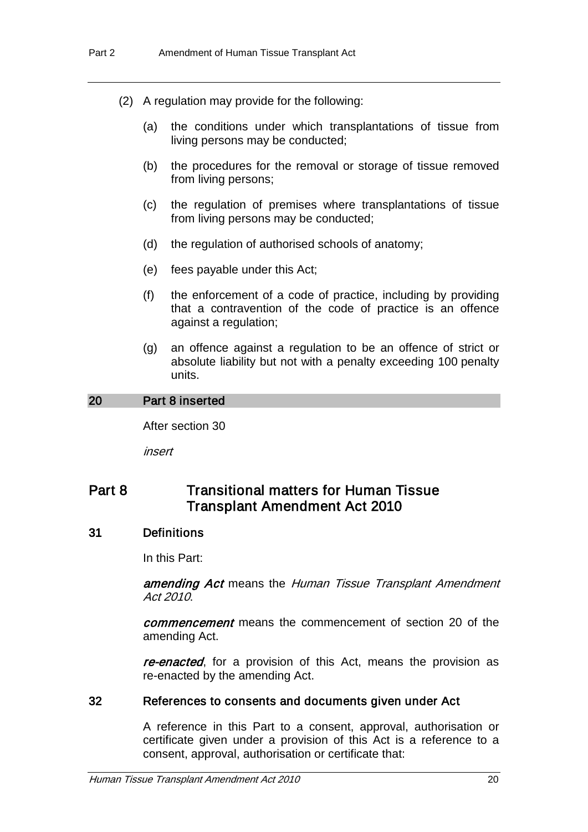- (2) A regulation may provide for the following:
	- (a) the conditions under which transplantations of tissue from living persons may be conducted;
	- (b) the procedures for the removal or storage of tissue removed from living persons;
	- (c) the regulation of premises where transplantations of tissue from living persons may be conducted;
	- (d) the regulation of authorised schools of anatomy;
	- (e) fees payable under this Act;
	- (f) the enforcement of a code of practice, including by providing that a contravention of the code of practice is an offence against a regulation;
	- (g) an offence against a regulation to be an offence of strict or absolute liability but not with a penalty exceeding 100 penalty units.

#### 20 Part 8 inserted

After section 30

insert

## Part 8 **Transitional matters for Human Tissue** Transplant Amendment Act 2010

#### 31 Definitions

In this Part:

amending Act means the Human Tissue Transplant Amendment Act 2010.

*commencement* means the commencement of section 20 of the amending Act.

re-enacted, for a provision of this Act, means the provision as re-enacted by the amending Act.

#### 32 References to consents and documents given under Act

A reference in this Part to a consent, approval, authorisation or certificate given under a provision of this Act is a reference to a consent, approval, authorisation or certificate that: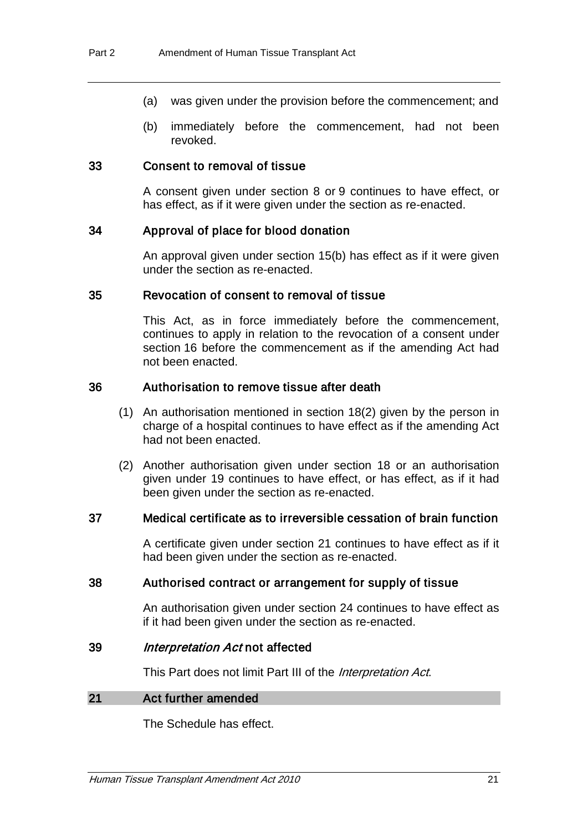- (a) was given under the provision before the commencement; and
- (b) immediately before the commencement, had not been revoked.

#### 33 Consent to removal of tissue

A consent given under section 8 or 9 continues to have effect, or has effect, as if it were given under the section as re-enacted.

#### 34 Approval of place for blood donation

An approval given under section 15(b) has effect as if it were given under the section as re-enacted.

#### 35 Revocation of consent to removal of tissue

This Act, as in force immediately before the commencement, continues to apply in relation to the revocation of a consent under section 16 before the commencement as if the amending Act had not been enacted.

#### 36 Authorisation to remove tissue after death

- (1) An authorisation mentioned in section 18(2) given by the person in charge of a hospital continues to have effect as if the amending Act had not been enacted.
- (2) Another authorisation given under section 18 or an authorisation given under 19 continues to have effect, or has effect, as if it had been given under the section as re-enacted.

#### 37 Medical certificate as to irreversible cessation of brain function

A certificate given under section 21 continues to have effect as if it had been given under the section as re-enacted.

#### 38 Authorised contract or arrangement for supply of tissue

An authorisation given under section 24 continues to have effect as if it had been given under the section as re-enacted.

#### 39 Interpretation Act not affected

This Part does not limit Part III of the *Interpretation Act*.

#### 21 Act further amended

The Schedule has effect.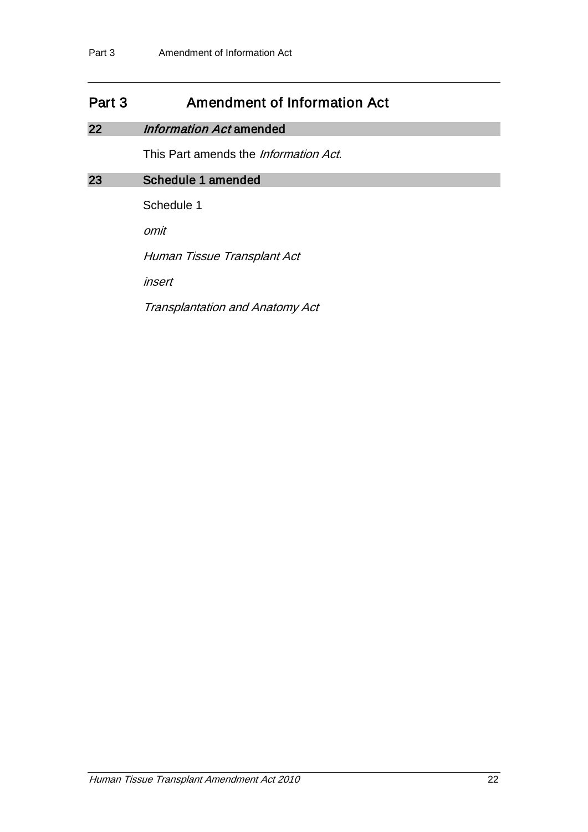## Part 3 Amendment of Information Act

## 22 *Information Act* amended

This Part amends the *Information Act*.

## 23 Schedule 1 amended

Schedule 1

omit

Human Tissue Transplant Act

insert

Transplantation and Anatomy Act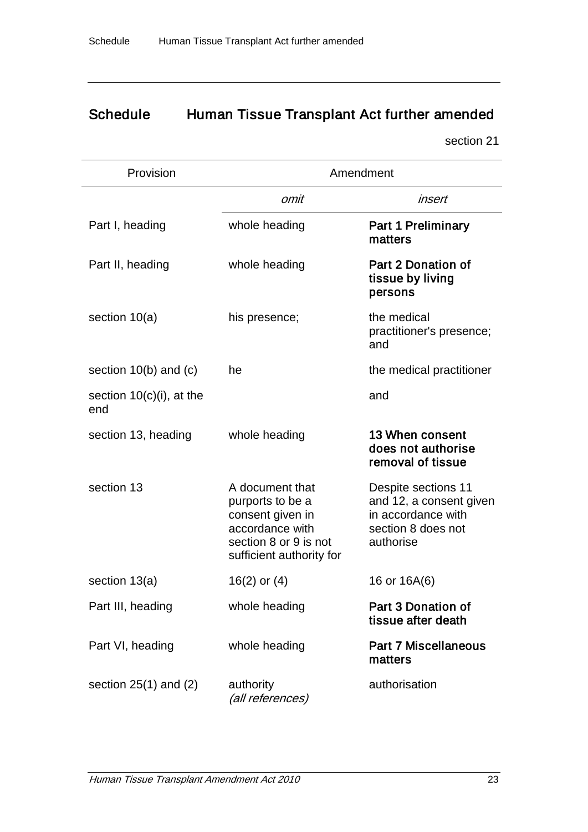# Schedule Human Tissue Transplant Act further amended

section 21

| Provision                          | Amendment                                                                                                                       |                                                                                                         |  |
|------------------------------------|---------------------------------------------------------------------------------------------------------------------------------|---------------------------------------------------------------------------------------------------------|--|
|                                    | omit                                                                                                                            | insert                                                                                                  |  |
| Part I, heading                    | whole heading                                                                                                                   | <b>Part 1 Preliminary</b><br>matters                                                                    |  |
| Part II, heading                   | whole heading                                                                                                                   | Part 2 Donation of<br>tissue by living<br>persons                                                       |  |
| section $10(a)$                    | his presence;                                                                                                                   | the medical<br>practitioner's presence;<br>and                                                          |  |
| section $10(b)$ and $(c)$          | he                                                                                                                              | the medical practitioner                                                                                |  |
| section $10(c)(i)$ , at the<br>end |                                                                                                                                 | and                                                                                                     |  |
| section 13, heading                | whole heading                                                                                                                   | 13 When consent<br>does not authorise<br>removal of tissue                                              |  |
| section 13                         | A document that<br>purports to be a<br>consent given in<br>accordance with<br>section 8 or 9 is not<br>sufficient authority for | Despite sections 11<br>and 12, a consent given<br>in accordance with<br>section 8 does not<br>authorise |  |
| section 13(a)                      | $16(2)$ or $(4)$                                                                                                                | 16 or 16A(6)                                                                                            |  |
| Part III, heading                  | whole heading                                                                                                                   | Part 3 Donation of<br>tissue after death                                                                |  |
| Part VI, heading                   | whole heading                                                                                                                   | <b>Part 7 Miscellaneous</b><br>matters                                                                  |  |
| section $25(1)$ and $(2)$          | authority<br>(all references)                                                                                                   | authorisation                                                                                           |  |